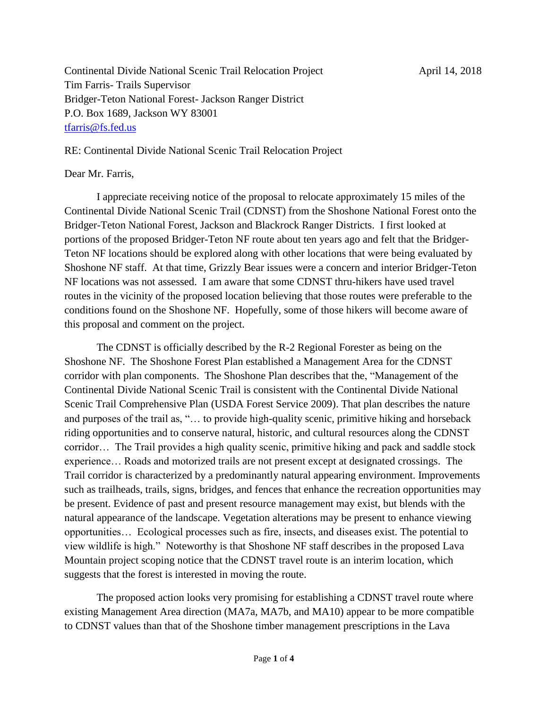Continental Divide National Scenic Trail Relocation Project April 14, 2018 Tim Farris- Trails Supervisor Bridger-Teton National Forest- Jackson Ranger District P.O. Box 1689, Jackson WY 83001 [tfarris@fs.fed.us](mailto:tfarris@fs.fed.us)

RE: Continental Divide National Scenic Trail Relocation Project

## Dear Mr. Farris,

I appreciate receiving notice of the proposal to relocate approximately 15 miles of the Continental Divide National Scenic Trail (CDNST) from the Shoshone National Forest onto the Bridger-Teton National Forest, Jackson and Blackrock Ranger Districts. I first looked at portions of the proposed Bridger-Teton NF route about ten years ago and felt that the Bridger-Teton NF locations should be explored along with other locations that were being evaluated by Shoshone NF staff. At that time, Grizzly Bear issues were a concern and interior Bridger-Teton NF locations was not assessed. I am aware that some CDNST thru-hikers have used travel routes in the vicinity of the proposed location believing that those routes were preferable to the conditions found on the Shoshone NF. Hopefully, some of those hikers will become aware of this proposal and comment on the project.

The CDNST is officially described by the R-2 Regional Forester as being on the Shoshone NF. The Shoshone Forest Plan established a Management Area for the CDNST corridor with plan components. The Shoshone Plan describes that the, "Management of the Continental Divide National Scenic Trail is consistent with the Continental Divide National Scenic Trail Comprehensive Plan (USDA Forest Service 2009). That plan describes the nature and purposes of the trail as, "… to provide high-quality scenic, primitive hiking and horseback riding opportunities and to conserve natural, historic, and cultural resources along the CDNST corridor… The Trail provides a high quality scenic, primitive hiking and pack and saddle stock experience… Roads and motorized trails are not present except at designated crossings. The Trail corridor is characterized by a predominantly natural appearing environment. Improvements such as trailheads, trails, signs, bridges, and fences that enhance the recreation opportunities may be present. Evidence of past and present resource management may exist, but blends with the natural appearance of the landscape. Vegetation alterations may be present to enhance viewing opportunities… Ecological processes such as fire, insects, and diseases exist. The potential to view wildlife is high." Noteworthy is that Shoshone NF staff describes in the proposed Lava Mountain project scoping notice that the CDNST travel route is an interim location, which suggests that the forest is interested in moving the route.

The proposed action looks very promising for establishing a CDNST travel route where existing Management Area direction (MA7a, MA7b, and MA10) appear to be more compatible to CDNST values than that of the Shoshone timber management prescriptions in the Lava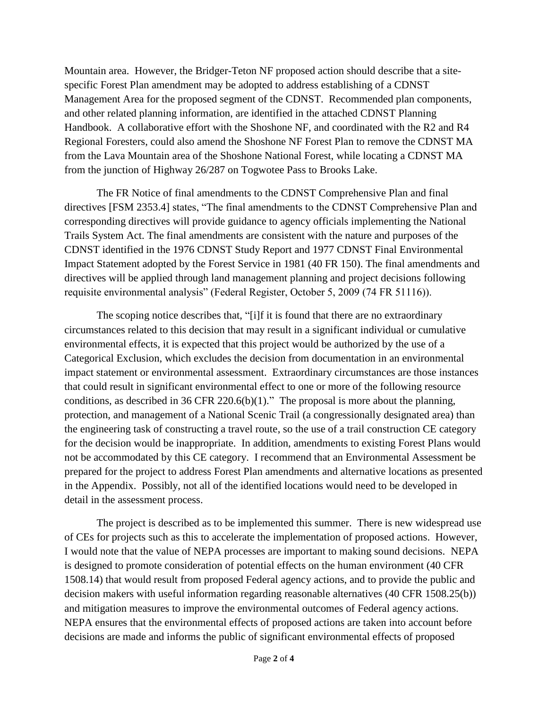Mountain area. However, the Bridger-Teton NF proposed action should describe that a sitespecific Forest Plan amendment may be adopted to address establishing of a CDNST Management Area for the proposed segment of the CDNST. Recommended plan components, and other related planning information, are identified in the attached CDNST Planning Handbook. A collaborative effort with the Shoshone NF, and coordinated with the R2 and R4 Regional Foresters, could also amend the Shoshone NF Forest Plan to remove the CDNST MA from the Lava Mountain area of the Shoshone National Forest, while locating a CDNST MA from the junction of Highway 26/287 on Togwotee Pass to Brooks Lake.

The FR Notice of final amendments to the CDNST Comprehensive Plan and final directives [FSM 2353.4] states, "The final amendments to the CDNST Comprehensive Plan and corresponding directives will provide guidance to agency officials implementing the National Trails System Act. The final amendments are consistent with the nature and purposes of the CDNST identified in the 1976 CDNST Study Report and 1977 CDNST Final Environmental Impact Statement adopted by the Forest Service in 1981 (40 FR 150). The final amendments and directives will be applied through land management planning and project decisions following requisite environmental analysis" (Federal Register, October 5, 2009 (74 FR 51116)).

The scoping notice describes that, "[i]f it is found that there are no extraordinary circumstances related to this decision that may result in a significant individual or cumulative environmental effects, it is expected that this project would be authorized by the use of a Categorical Exclusion, which excludes the decision from documentation in an environmental impact statement or environmental assessment. Extraordinary circumstances are those instances that could result in significant environmental effect to one or more of the following resource conditions, as described in 36 CFR 220.6(b)(1)." The proposal is more about the planning, protection, and management of a National Scenic Trail (a congressionally designated area) than the engineering task of constructing a travel route, so the use of a trail construction CE category for the decision would be inappropriate. In addition, amendments to existing Forest Plans would not be accommodated by this CE category. I recommend that an Environmental Assessment be prepared for the project to address Forest Plan amendments and alternative locations as presented in the Appendix. Possibly, not all of the identified locations would need to be developed in detail in the assessment process.

The project is described as to be implemented this summer. There is new widespread use of CEs for projects such as this to accelerate the implementation of proposed actions. However, I would note that the value of NEPA processes are important to making sound decisions. NEPA is designed to promote consideration of potential effects on the human environment (40 CFR 1508.14) that would result from proposed Federal agency actions, and to provide the public and decision makers with useful information regarding reasonable alternatives (40 CFR 1508.25(b)) and mitigation measures to improve the environmental outcomes of Federal agency actions. NEPA ensures that the environmental effects of proposed actions are taken into account before decisions are made and informs the public of significant environmental effects of proposed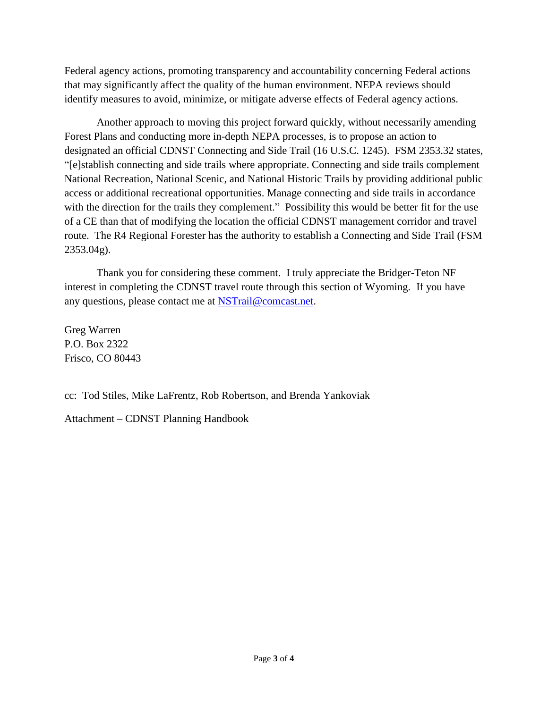Federal agency actions, promoting transparency and accountability concerning Federal actions that may significantly affect the quality of the human environment. NEPA reviews should identify measures to avoid, minimize, or mitigate adverse effects of Federal agency actions.

Another approach to moving this project forward quickly, without necessarily amending Forest Plans and conducting more in-depth NEPA processes, is to propose an action to designated an official CDNST Connecting and Side Trail (16 U.S.C. 1245). FSM 2353.32 states, "[e]stablish connecting and side trails where appropriate. Connecting and side trails complement National Recreation, National Scenic, and National Historic Trails by providing additional public access or additional recreational opportunities. Manage connecting and side trails in accordance with the direction for the trails they complement." Possibility this would be better fit for the use of a CE than that of modifying the location the official CDNST management corridor and travel route. The R4 Regional Forester has the authority to establish a Connecting and Side Trail (FSM 2353.04g).

Thank you for considering these comment. I truly appreciate the Bridger-Teton NF interest in completing the CDNST travel route through this section of Wyoming. If you have any questions, please contact me at [NSTrail@comcast.net.](mailto:NSTrail@comcast.net)

Greg Warren P.O. Box 2322 Frisco, CO 80443

cc: Tod Stiles, Mike LaFrentz, Rob Robertson, and Brenda Yankoviak

Attachment – CDNST Planning Handbook